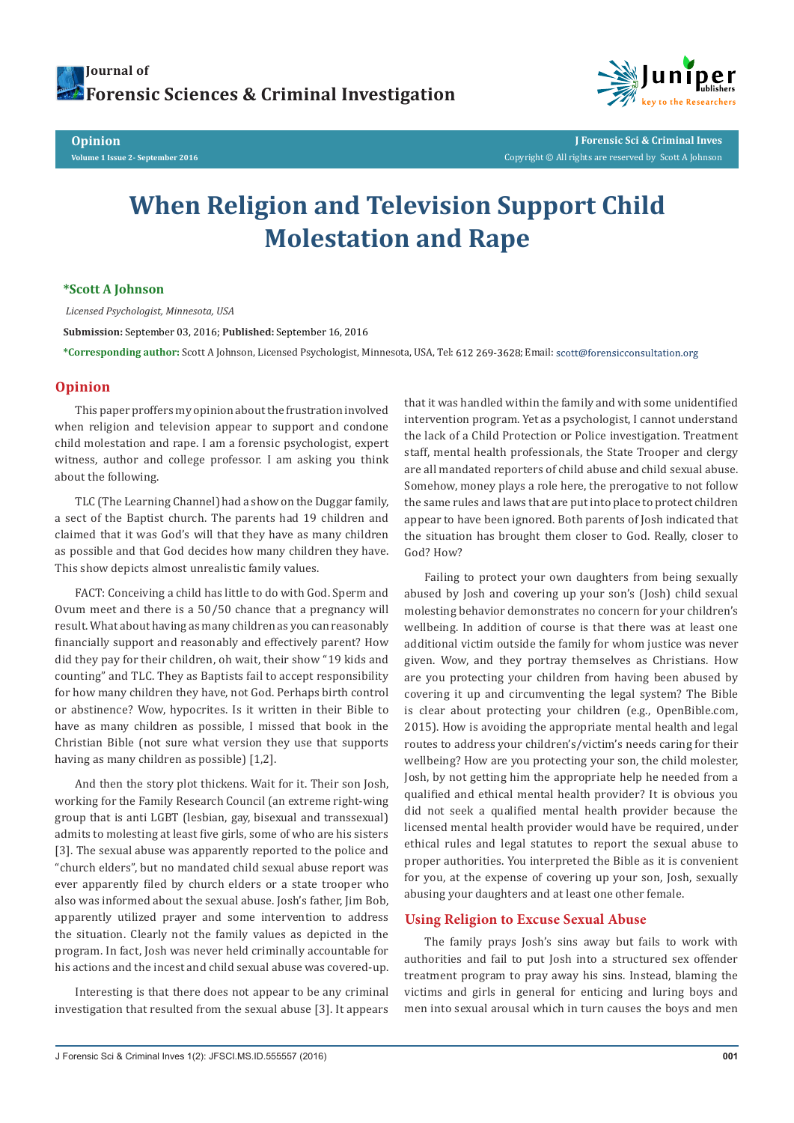**Opinion Volume 1 Issue 2- September 2016**



**J Forensic Sci & Criminal Inves** Copyright © All rights are reserved by Scott A Johnson

# **When Religion and Television Support Child Molestation and Rape**

### **\*Scott A Johnson**

 *Licensed Psychologist, Minnesota, USA*

**Submission:** September 03, 2016; **Published:** September 16, 2016

\*Corresponding author: Scott A Johnson, Licensed Psychologist, Minnesota, USA, Tel: 612 269-3628; Email: scott@forensicconsultation.org

## **Opinion**

This paper proffers my opinion about the frustration involved when religion and television appear to support and condone child molestation and rape. I am a forensic psychologist, expert witness, author and college professor. I am asking you think about the following.

TLC (The Learning Channel) had a show on the Duggar family, a sect of the Baptist church. The parents had 19 children and claimed that it was God's will that they have as many children as possible and that God decides how many children they have. This show depicts almost unrealistic family values.

FACT: Conceiving a child has little to do with God. Sperm and Ovum meet and there is a 50/50 chance that a pregnancy will result. What about having as many children as you can reasonably financially support and reasonably and effectively parent? How did they pay for their children, oh wait, their show "19 kids and counting" and TLC. They as Baptists fail to accept responsibility for how many children they have, not God. Perhaps birth control or abstinence? Wow, hypocrites. Is it written in their Bible to have as many children as possible, I missed that book in the Christian Bible (not sure what version they use that supports having as many children as possible) [1,2].

And then the story plot thickens. Wait for it. Their son Josh, working for the Family Research Council (an extreme right-wing group that is anti LGBT (lesbian, gay, bisexual and transsexual) admits to molesting at least five girls, some of who are his sisters [3]. The sexual abuse was apparently reported to the police and "church elders", but no mandated child sexual abuse report was ever apparently filed by church elders or a state trooper who also was informed about the sexual abuse. Josh's father, Jim Bob, apparently utilized prayer and some intervention to address the situation. Clearly not the family values as depicted in the program. In fact, Josh was never held criminally accountable for his actions and the incest and child sexual abuse was covered-up.

Interesting is that there does not appear to be any criminal investigation that resulted from the sexual abuse [3]. It appears that it was handled within the family and with some unidentified intervention program. Yet as a psychologist, I cannot understand the lack of a Child Protection or Police investigation. Treatment staff, mental health professionals, the State Trooper and clergy are all mandated reporters of child abuse and child sexual abuse. Somehow, money plays a role here, the prerogative to not follow the same rules and laws that are put into place to protect children appear to have been ignored. Both parents of Josh indicated that the situation has brought them closer to God. Really, closer to God? How?

Failing to protect your own daughters from being sexually abused by Josh and covering up your son's (Josh) child sexual molesting behavior demonstrates no concern for your children's wellbeing. In addition of course is that there was at least one additional victim outside the family for whom justice was never given. Wow, and they portray themselves as Christians. How are you protecting your children from having been abused by covering it up and circumventing the legal system? The Bible is clear about protecting your children (e.g., OpenBible.com, 2015). How is avoiding the appropriate mental health and legal routes to address your children's/victim's needs caring for their wellbeing? How are you protecting your son, the child molester, Josh, by not getting him the appropriate help he needed from a qualified and ethical mental health provider? It is obvious you did not seek a qualified mental health provider because the licensed mental health provider would have be required, under ethical rules and legal statutes to report the sexual abuse to proper authorities. You interpreted the Bible as it is convenient for you, at the expense of covering up your son, Josh, sexually abusing your daughters and at least one other female.

### **Using Religion to Excuse Sexual Abuse**

The family prays Josh's sins away but fails to work with authorities and fail to put Josh into a structured sex offender treatment program to pray away his sins. Instead, blaming the victims and girls in general for enticing and luring boys and men into sexual arousal which in turn causes the boys and men